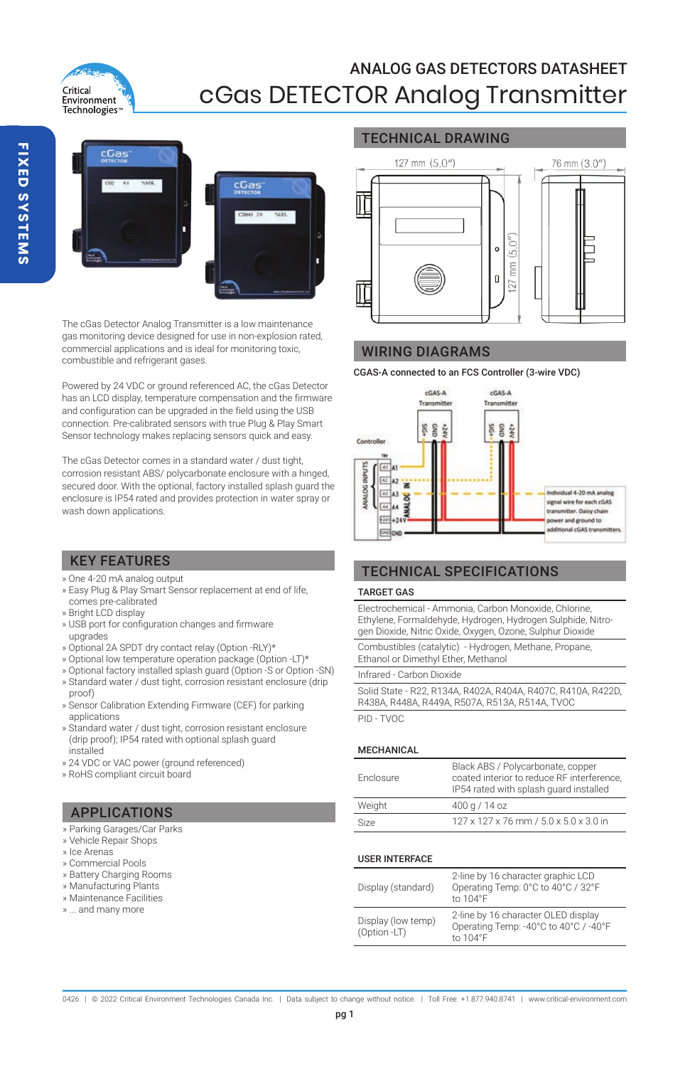



The cGas Detector Analog Transmitter is a low maintenance gas monitoring device designed for use in non-explosion rated, commercial applications and is ideal for monitoring toxic, combustible and refrigerant gases.

Powered by 24 VDC or ground referenced AC, the cGas Detector has an LCD display, temperature compensation and the firmware and configuration can be upgraded in the field using the USB connection. Pre-calibrated sensors with true Plug & Play Smart Sensor technology makes replacing sensors quick and easy.

The cGas Detector comes in a standard water / dust tight, corrosion resistant ABS/ polycarbonate enclosure with a hinged, secured door. With the optional, factory installed splash guard the enclosure is IP54 rated and provides protection in water spray or wash down applications.

## TECHNICAL DRAWING



### WIRING DIAGRAMS

CGAS-A connected to an FCS Controller (3-wire VDC)



## KEY FEATURES

- » One 4-20 mA analog output
- » Easy Plug & Play Smart Sensor replacement at end of life, comes pre-calibrated
- 
- » Bright LCD display » USB port for configuration changes and firmware upgrades
- » Optional 2A SPDT dry contact relay (Option -RLY)\*
- » Optional low temperature operation package (Option -LT)\*
- » Optional factory installed splash guard (Option -S or Option -SN)
- » Standard water / dust tight, corrosion resistant enclosure (drip proof)
- » Sensor Calibration Extending Firmware (CEF) for parking applications
- » Standard water / dust tight, corrosion resistant enclosure (drip proof); IP54 rated with optional splash guard installed
- » 24 VDC or VAC power (ground referenced)
- » RoHS compliant circuit board

## APPLICATIONS

- » Parking Garages/Car Parks
- » Vehicle Repair Shops
- » Ice Arenas
- » Commercial Pools
- » Battery Charging Rooms
- » Manufacturing Plants
- » Maintenance Facilities
- » ... and many more

TARGET GAS Electrochemical - Ammonia, Carbon Monoxide, Chlorine,

TECHNICAL SPECIFICATIONS

Ethylene, Formaldehyde, Hydrogen, Hydrogen Sulphide, Nitro-gen Dioxide, Nitric Oxide, Oxygen, Ozone, Sulphur Dioxide

Combustibles (catalytic) - Hydrogen, Methane, Propane, Ethanol or Dimethyl Ether, Methanol

Infrared - Carbon Dioxide

Solid State - R22, R134A, R402A, R404A, R407C, R410A, R422D, R438A, R448A, R449A, R507A, R513A, R514A, TVOC

PID - TVOC

#### MECHANICAL

| Enclosure | Black ABS / Polycarbonate, copper<br>coated interior to reduce RF interference.<br>IP54 rated with splash quard installed |  |  |
|-----------|---------------------------------------------------------------------------------------------------------------------------|--|--|
| Weight    | 400 g / 14 oz                                                                                                             |  |  |
| Size      | 127 x 127 x 76 mm / 5.0 x 5.0 x 3.0 in                                                                                    |  |  |

#### USER INTERFACE

| Display (standard)                 | 2-line by 16 character graphic LCD<br>Operating Temp: 0°C to 40°C / 32°F<br>to 104°F     |  |  |
|------------------------------------|------------------------------------------------------------------------------------------|--|--|
| Display (low temp)<br>(Option -LT) | 2-line by 16 character OLED display<br>Operating Temp: -40°C to 40°C / -40°F<br>to 104°F |  |  |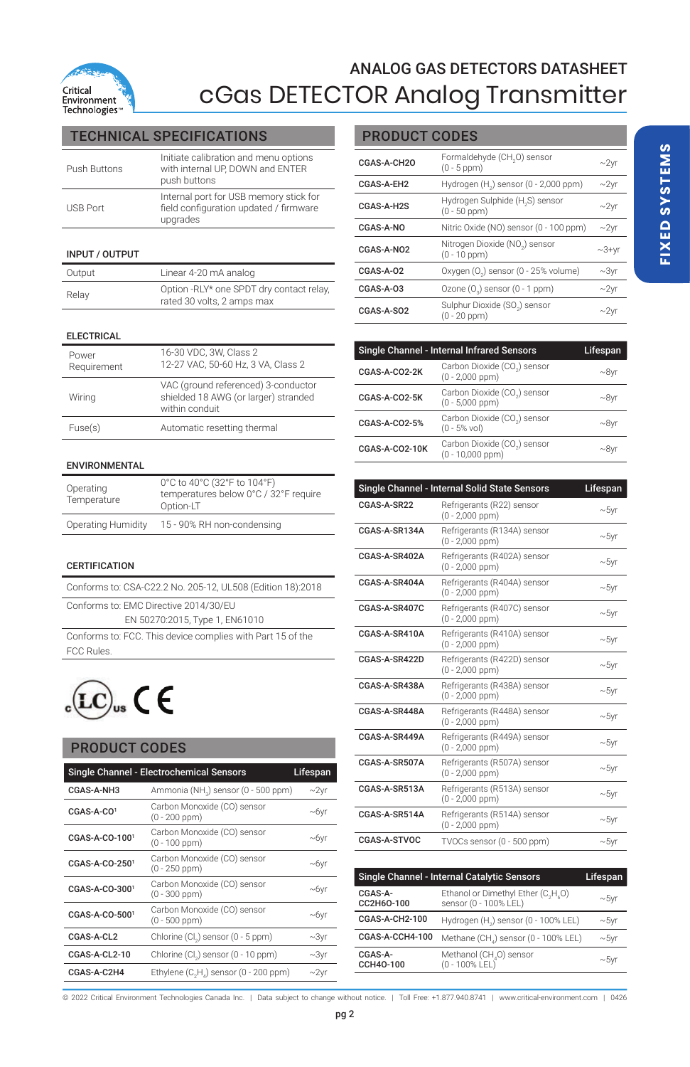

## TECHNICAL SPECIFICATIONS

| Push Buttons    | Initiate calibration and menu options<br>with internal UP. DOWN and ENTER<br>push buttons    |
|-----------------|----------------------------------------------------------------------------------------------|
| <b>USB Port</b> | Internal port for USB memory stick for<br>field configuration updated / firmware<br>upgrades |

#### INPUT / OUTPUT

| Output | Linear 4-20 mA analog                                                  |
|--------|------------------------------------------------------------------------|
| Relay  | Option -RLY* one SPDT dry contact relay,<br>rated 30 volts, 2 amps max |

#### ELECTRICAL

| Power<br>Requirement | 16-30 VDC, 3W, Class 2<br>12-27 VAC, 50-60 Hz, 3 VA, Class 2                                  |
|----------------------|-----------------------------------------------------------------------------------------------|
| Wiring               | VAC (ground referenced) 3-conductor<br>shielded 18 AWG (or larger) stranded<br>within conduit |
| Fuse(s)              | Automatic resetting thermal                                                                   |

#### ENVIRONMENTAL

| Operating<br>Temperature | 0°C to 40°C (32°F to 104°F)<br>temperatures below 0°C / 32°F require<br>Option-LT |  |  |
|--------------------------|-----------------------------------------------------------------------------------|--|--|
| Operating Humidity       | 15 - 90% RH non-condensing                                                        |  |  |

#### **CERTIFICATION**

Conforms to: CSA-C22.2 No. 205-12, UL508 (Edition 18):2018

Conforms to: EMC Directive 2014/30/EU

EN 50270:2015, Type 1, EN61010

Conforms to: FCC. This device complies with Part 15 of the FCC Rules.



### PRODUCT CODES

| Single Channel - Electrochemical Sensors<br>Lifespan |                                                                |            |  |  |
|------------------------------------------------------|----------------------------------------------------------------|------------|--|--|
| CGAS-A-NH3                                           | Ammonia (NH <sub>2</sub> ) sensor (0 - 500 ppm)                | $\sim$ 2yr |  |  |
| $CGAS-A-CO1$                                         | Carbon Monoxide (CO) sensor<br>(0 - 200 ppm)                   | $-6yr$     |  |  |
| CGAS-A-CO-1001                                       | Carbon Monoxide (CO) sensor<br>$(0 - 100$ ppm $)$              | ~10        |  |  |
| CGAS-A-CO-2501                                       | Carbon Monoxide (CO) sensor<br>$(0 - 250$ ppm $)$              | $-6yr$     |  |  |
| CGAS-A-CO-3001                                       | Carbon Monoxide (CO) sensor<br>(0 - 300 ppm)                   | ~10        |  |  |
| CGAS-A-CO-5001                                       | Carbon Monoxide (CO) sensor<br>(0 - 500 ppm)                   | $-6yr$     |  |  |
| CGAS-A-CL2                                           | Chlorine (Cl.) sensor (0 - 5 ppm)                              | $~2$ yr    |  |  |
| CGAS-A-CL2-10                                        | Chlorine (Cl.) sensor (0 - 10 ppm)                             | $\sim$ 3yr |  |  |
| CGAS-A-C2H4                                          | Ethylene (C <sub>2</sub> H <sub>4</sub> ) sensor (0 - 200 ppm) | $\sim$ 2vr |  |  |

## PRODUCT CODES

| CGAS-A-CH2O                                                     | Formaldehyde (CH <sub>2</sub> O) sensor<br>$(0 - 5$ ppm $)$      |               |  |  |
|-----------------------------------------------------------------|------------------------------------------------------------------|---------------|--|--|
| CGAS-A-EH2                                                      | Hydrogen (H <sub>2</sub> ) sensor (0 - 2,000 ppm)                | $-2vr$        |  |  |
| CGAS-A-H2S                                                      | Hydrogen Sulphide (H <sub>2</sub> S) sensor<br>$(0 - 50$ ppm $)$ | $\sim$ 2 $vr$ |  |  |
| CGAS-A-NO                                                       | Nitric Oxide (NO) sensor (0 - 100 ppm)                           |               |  |  |
| CGAS-A-NO2                                                      | Nitrogen Dioxide (NO2) sensor<br>$(0 - 10$ ppm $)$               | $\sim$ 3+yr   |  |  |
| $CGAS-A-O2$                                                     | Oxygen (O.) sensor (0 - 25% volume)                              | $\sim$ 3yr    |  |  |
| $CGAS-A-O3$                                                     | Ozone (O.) sensor (0 - 1 ppm)                                    | $\sim$ 2yr    |  |  |
| Sulphur Dioxide (SO.) sensor<br>CGAS-A-SO2<br>$(0 - 20$ ppm $)$ |                                                                  | $\sim$ 2vr    |  |  |

| Single Channel - Internal Infrared Sensors<br>Lifespan |                                                   |         |  |  |
|--------------------------------------------------------|---------------------------------------------------|---------|--|--|
| CGAS-A-CO2-2K                                          | Carbon Dioxide (CO.) sensor<br>$(0 - 2,000$ ppm)  | $-8$ vr |  |  |
| CGAS-A-CO2-5K                                          | Carbon Dioxide (CO.) sensor<br>$(0 - 5.000$ ppm)  | $-8$ vr |  |  |
| CGAS-A-CO2-5%                                          | Carbon Dioxide (CO.) sensor<br>$(0 - 5\%$ vol)    | $-8$ yr |  |  |
| CGAS-A-CO2-10K                                         | Carbon Dioxide (CO.) sensor<br>$(0 - 10.000$ ppm) | $-8$ vr |  |  |

| Single Channel - Internal Solid State Sensors<br>Lifespan |                                                     |            |  |  |  |
|-----------------------------------------------------------|-----------------------------------------------------|------------|--|--|--|
| CGAS-A-SR22                                               | Refrigerants (R22) sensor<br>$(0 - 2.000$ ppm)      | $\sim$ 5yr |  |  |  |
| CGAS-A-SR134A                                             | Refrigerants (R134A) sensor<br>$(0 - 2,000$ ppm)    | $\sim$ 5yr |  |  |  |
| CGAS-A-SR402A                                             | Refrigerants (R402A) sensor<br>$(0 - 2,000$ ppm $)$ | $\sim$ 5yr |  |  |  |
| CGAS-A-SR404A                                             | Refrigerants (R404A) sensor<br>$(0 - 2.000$ ppm)    | $\sim$ 5yr |  |  |  |
| CGAS-A-SR407C                                             | Refrigerants (R407C) sensor<br>$(0 - 2,000$ ppm $)$ | $\sim$ 5yr |  |  |  |
| CGAS-A-SR410A                                             | Refrigerants (R410A) sensor<br>$(0 - 2,000$ ppm $)$ | $\sim$ 5yr |  |  |  |
| CGAS-A-SR422D                                             | Refrigerants (R422D) sensor<br>$(0 - 2.000$ ppm)    | $\sim$ 5yr |  |  |  |
| CGAS-A-SR438A                                             | Refrigerants (R438A) sensor<br>$(0 - 2,000$ ppm $)$ | $\sim$ 5yr |  |  |  |
| CGAS-A-SR448A                                             | Refrigerants (R448A) sensor<br>$(0 - 2,000$ ppm $)$ | $\sim$ 5yr |  |  |  |
| CGAS-A-SR449A                                             | Refrigerants (R449A) sensor<br>$(0 - 2.000$ ppm)    | $\sim$ 5yr |  |  |  |
| CGAS-A-SR507A                                             | Refrigerants (R507A) sensor<br>$(0 - 2,000$ ppm $)$ | $\sim$ 5yr |  |  |  |
| CGAS-A-SR513A                                             | Refrigerants (R513A) sensor<br>$(0 - 2,000$ ppm)    | $\sim$ 5yr |  |  |  |
| CGAS-A-SR514A                                             | Refrigerants (R514A) sensor<br>$(0 - 2,000$ ppm $)$ | $\sim$ 5yr |  |  |  |
| CGAS-A-STVOC                                              | TVOCs sensor (0 - 500 ppm)                          | $\sim$ 5yr |  |  |  |

| Single Channel - Internal Catalytic Sensors | Lifespan                                                                             |            |
|---------------------------------------------|--------------------------------------------------------------------------------------|------------|
| CGAS-A-<br>CC2H6O-100                       | Ethanol or Dimethyl Ether (C <sub>2</sub> H <sub>2</sub> O)<br>sensor (0 - 100% LEL) | $\sim$ 5yr |
| CGAS-A-CH2-100                              | Hydrogen (H <sub>2</sub> ) sensor (0 - 100% LEL)                                     | ~10        |
| CGAS-A-CCH4-100                             | Methane (CH,) sensor (0 - 100% LEL)                                                  | ~10        |
| CGAS-A-<br>CCH40-100                        | Methanol (CH <sub>4</sub> O) sensor<br>$(0 - 100\%$ LEL)                             | $\sim$ 5vr |

© 2022 Critical Environment Technologies Canada Inc. | Data subject to change without notice. | Toll Free: +1.877.940.8741 | www.critical-environment.com | 0426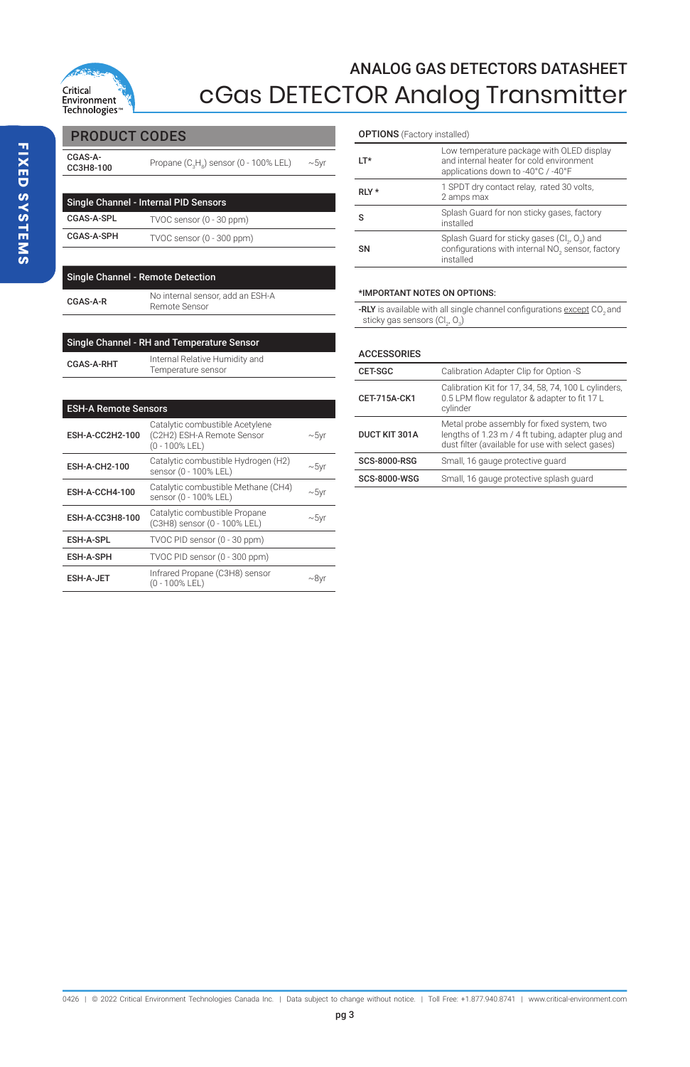

**FIXED SYSTEMS FIXED SYSTEMS**

|  |  | PRODUCT COD |  |  |
|--|--|-------------|--|--|
|  |  |             |  |  |

| CGAS-A-<br>CC3H8-100                  | Propane (C <sub>2</sub> H <sub>a</sub> ) sensor (0 - 100% LEL) | $\sim$ 5yr |
|---------------------------------------|----------------------------------------------------------------|------------|
|                                       |                                                                |            |
| Single Channel - Internal PID Sensors |                                                                |            |
| CGAS-A-SPL                            | TVOC sensor (0 - 30 ppm)                                       |            |
| CGAS-A-SPH                            | TVOC sensor (0 - 300 ppm)                                      |            |
|                                       |                                                                |            |

| <b>Single Channel - Remote Detection</b> |                                                   |  |  |
|------------------------------------------|---------------------------------------------------|--|--|
| CGAS-A-R                                 | No internal sensor, add an ESH-A<br>Remote Sensor |  |  |
|                                          |                                                   |  |  |

| Single Channel - RH and Temperature Sensor |                                                      |  |  |
|--------------------------------------------|------------------------------------------------------|--|--|
| <b>CGAS-A-RHT</b>                          | Internal Relative Humidity and<br>Temperature sensor |  |  |

| <b>ESH-A Remote Sensors</b> |                                                                                 |            |  |
|-----------------------------|---------------------------------------------------------------------------------|------------|--|
| ESH-A-CC2H2-100             | Catalytic combustible Acetylene<br>(C2H2) ESH-A Remote Sensor<br>(0 - 100% LEL) | $\sim$ 5yr |  |
| ESH-A-CH2-100               | Catalytic combustible Hydrogen (H2)<br>sensor (0 - 100% LEL)                    | $\sim$ 5yr |  |
| <b>ESH-A-CCH4-100</b>       | Catalytic combustible Methane (CH4)<br>sensor (0 - 100% LEL)                    | $\sim$ 5yr |  |
| ESH-A-CC3H8-100             | Catalytic combustible Propane<br>(C3H8) sensor (0 - 100% LEL)                   | $\sim$ 5yr |  |
| ESH-A-SPL                   | TVOC PID sensor (0 - 30 ppm)                                                    |            |  |
| <b>ESH-A-SPH</b>            | TVOC PID sensor (0 - 300 ppm)                                                   |            |  |
| <b>ESH-A-JET</b>            | Infrared Propane (C3H8) sensor<br>(0 - 100% LEL)                                | ~8v        |  |

| <b>PRODUCT CODES</b> | <b>OPTIONS</b> (Factory installed) |
|----------------------|------------------------------------|
|                      |                                    |

| $IT*$     | Low temperature package with OLED display<br>and internal heater for cold environment<br>applications down to -40°C / -40°F |
|-----------|-----------------------------------------------------------------------------------------------------------------------------|
| $RLY$ *   | 1 SPDT dry contact relay, rated 30 volts,<br>2 amps max                                                                     |
| s         | Splash Guard for non sticky gases, factory<br>installed                                                                     |
| <b>SN</b> | Splash Guard for sticky gases (Cl., O.) and<br>configurations with internal NO, sensor, factory<br>installed                |

#### \*IMPORTANT NOTES ON OPTIONS:

-RLY is available with all single channel configurations  $\overline{\text{except }}$  CO<sub>2</sub> and sticky gas sensors  $(Cl_2, Q_3)$ 

## ACCESSORIES

| CET-SGC              | Calibration Adapter Clip for Option -S                                                                                                               |
|----------------------|------------------------------------------------------------------------------------------------------------------------------------------------------|
| CET-715A-CK1         | Calibration Kit for 17, 34, 58, 74, 100 L cylinders,<br>0.5 LPM flow regulator & adapter to fit 17 L<br>cylinder                                     |
| <b>DUCT KIT 301A</b> | Metal probe assembly for fixed system, two<br>lengths of 1.23 m / 4 ft tubing, adapter plug and<br>dust filter (available for use with select gases) |
| <b>SCS-8000-RSG</b>  | Small, 16 gauge protective guard                                                                                                                     |
| SCS-8000-WSG         | Small, 16 gauge protective splash quard                                                                                                              |